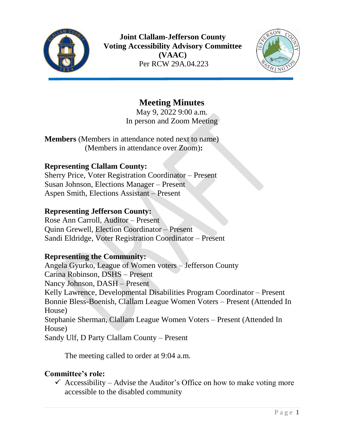



# **Meeting Minutes**

May 9, 2022 9:00 a.m. In person and Zoom Meeting

**Members** (Members in attendance noted next to name) (Members in attendance over Zoom)**:**

#### **Representing Clallam County:**

Sherry Price, Voter Registration Coordinator – Present Susan Johnson, Elections Manager – Present Aspen Smith, Elections Assistant – Present

#### **Representing Jefferson County:**

Rose Ann Carroll, Auditor – Present Quinn Grewell, Election Coordinator – Present Sandi Eldridge, Voter Registration Coordinator – Present

### **Representing the Community:**

Angela Gyurko, League of Women voters – Jefferson County Carina Robinson, DSHS – Present Nancy Johnson, DASH – Present Kelly Lawrence, Developmental Disabilities Program Coordinator – Present Bonnie Bless-Boenish, Clallam League Women Voters – Present (Attended In House) Stephanie Sherman, Clallam League Women Voters – Present (Attended In House) Sandy Ulf, D Party Clallam County – Present

The meeting called to order at 9:04 a.m.

### **Committee's role:**

 $\checkmark$  Accessibility – Advise the Auditor's Office on how to make voting more accessible to the disabled community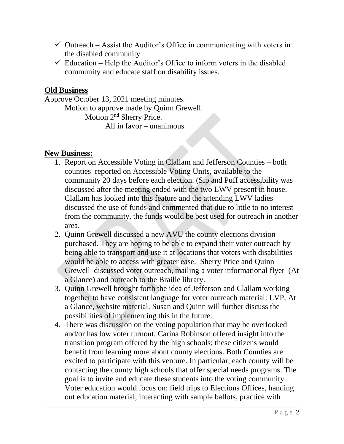- $\checkmark$  Outreach Assist the Auditor's Office in communicating with voters in the disabled community
- $\checkmark$  Education Help the Auditor's Office to inform voters in the disabled community and educate staff on disability issues.

## **Old Business**

Approve October 13, 2021 meeting minutes. Motion to approve made by Quinn Grewell. Motion 2nd Sherry Price. All in favor – unanimous

#### **New Business:**

- 1. Report on Accessible Voting in Clallam and Jefferson Counties both counties reported on Accessible Voting Units, available to the community 20 days before each election. (Sip and Puff accessibility was discussed after the meeting ended with the two LWV present in house. Clallam has looked into this feature and the attending LWV ladies discussed the use of funds and commented that due to little to no interest from the community, the funds would be best used for outreach in another area.
- 2. Quinn Grewell discussed a new AVU the county elections division purchased. They are hoping to be able to expand their voter outreach by being able to transport and use it at locations that voters with disabilities would be able to access with greater ease. Sherry Price and Quinn Grewell discussed voter outreach, mailing a voter informational flyer (At a Glance) and outreach to the Braille library.
- 3. Quinn Grewell brought forth the idea of Jefferson and Clallam working together to have consistent language for voter outreach material: LVP, At a Glance, website material. Susan and Quinn will further discuss the possibilities of implementing this in the future.
- 4. There was discussion on the voting population that may be overlooked and/or has low voter turnout. Carina Robinson offered insight into the transition program offered by the high schools; these citizens would benefit from learning more about county elections. Both Counties are excited to participate with this venture. In particular, each county will be contacting the county high schools that offer special needs programs. The goal is to invite and educate these students into the voting community. Voter education would focus on: field trips to Elections Offices, handing out education material, interacting with sample ballots, practice with